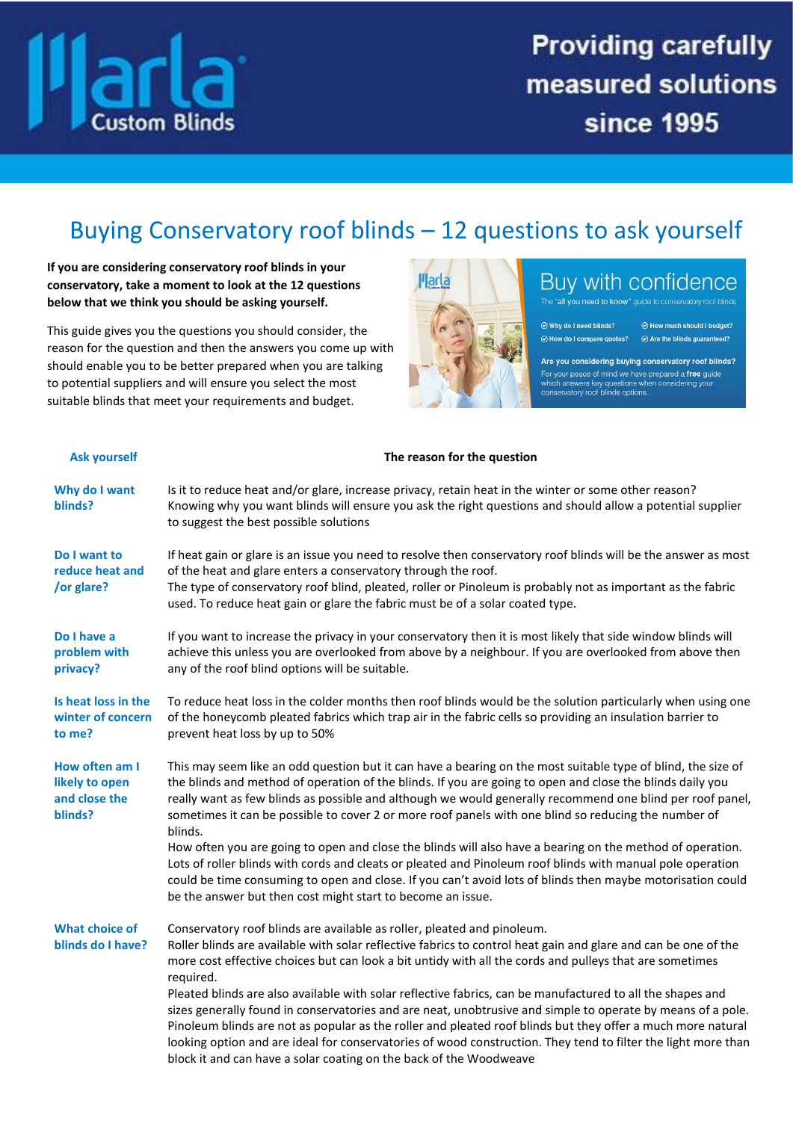

## **Providing carefully** measured solutions **since 1995**

## Buying Conservatory roof blinds – 12 questions to ask yourself

**If you are considering conservatory roof blinds in your conservatory, take a moment to look at the 12 questions below that we think you should be asking yourself.**

This guide gives you the questions you should consider, the reason for the question and then the answers you come up with should enable you to be better prepared when you are talking to potential suppliers and will ensure you select the most suitable blinds that meet your requirements and budget.



## Buy with confidence

The "all you need to know" guide to conservatory roof blinds

⊙ Why do I need blinds? ⊙ How do I compare quotes?

⊙ How much should I budget? ⊙ Are the blinds guaranteed?

Are you considering buying conservatory roof blinds? For your peace of mind we have prepared a free guide<br>which answers key questions when considering your<br>conservatory roof blinds options.

| <b>Ask yourself</b>                                          | The reason for the question                                                                                                                                                                                                                                                                                                                                                                                                                                                                                                     |
|--------------------------------------------------------------|---------------------------------------------------------------------------------------------------------------------------------------------------------------------------------------------------------------------------------------------------------------------------------------------------------------------------------------------------------------------------------------------------------------------------------------------------------------------------------------------------------------------------------|
| Why do I want<br>blinds?                                     | Is it to reduce heat and/or glare, increase privacy, retain heat in the winter or some other reason?<br>Knowing why you want blinds will ensure you ask the right questions and should allow a potential supplier<br>to suggest the best possible solutions                                                                                                                                                                                                                                                                     |
| Do I want to<br>reduce heat and<br>/or glare?                | If heat gain or glare is an issue you need to resolve then conservatory roof blinds will be the answer as most<br>of the heat and glare enters a conservatory through the roof.<br>The type of conservatory roof blind, pleated, roller or Pinoleum is probably not as important as the fabric<br>used. To reduce heat gain or glare the fabric must be of a solar coated type.                                                                                                                                                 |
| Do I have a<br>problem with<br>privacy?                      | If you want to increase the privacy in your conservatory then it is most likely that side window blinds will<br>achieve this unless you are overlooked from above by a neighbour. If you are overlooked from above then<br>any of the roof blind options will be suitable.                                                                                                                                                                                                                                                      |
| Is heat loss in the<br>winter of concern<br>to me?           | To reduce heat loss in the colder months then roof blinds would be the solution particularly when using one<br>of the honeycomb pleated fabrics which trap air in the fabric cells so providing an insulation barrier to<br>prevent heat loss by up to 50%                                                                                                                                                                                                                                                                      |
| How often am I<br>likely to open<br>and close the<br>blinds? | This may seem like an odd question but it can have a bearing on the most suitable type of blind, the size of<br>the blinds and method of operation of the blinds. If you are going to open and close the blinds daily you<br>really want as few blinds as possible and although we would generally recommend one blind per roof panel,<br>sometimes it can be possible to cover 2 or more roof panels with one blind so reducing the number of<br>blinds.                                                                       |
|                                                              | How often you are going to open and close the blinds will also have a bearing on the method of operation.<br>Lots of roller blinds with cords and cleats or pleated and Pinoleum roof blinds with manual pole operation<br>could be time consuming to open and close. If you can't avoid lots of blinds then maybe motorisation could<br>be the answer but then cost might start to become an issue.                                                                                                                            |
| <b>What choice of</b><br>blinds do I have?                   | Conservatory roof blinds are available as roller, pleated and pinoleum.<br>Roller blinds are available with solar reflective fabrics to control heat gain and glare and can be one of the<br>more cost effective choices but can look a bit untidy with all the cords and pulleys that are sometimes<br>required.                                                                                                                                                                                                               |
|                                                              | Pleated blinds are also available with solar reflective fabrics, can be manufactured to all the shapes and<br>sizes generally found in conservatories and are neat, unobtrusive and simple to operate by means of a pole.<br>Pinoleum blinds are not as popular as the roller and pleated roof blinds but they offer a much more natural<br>looking option and are ideal for conservatories of wood construction. They tend to filter the light more than<br>block it and can have a solar coating on the back of the Woodweave |